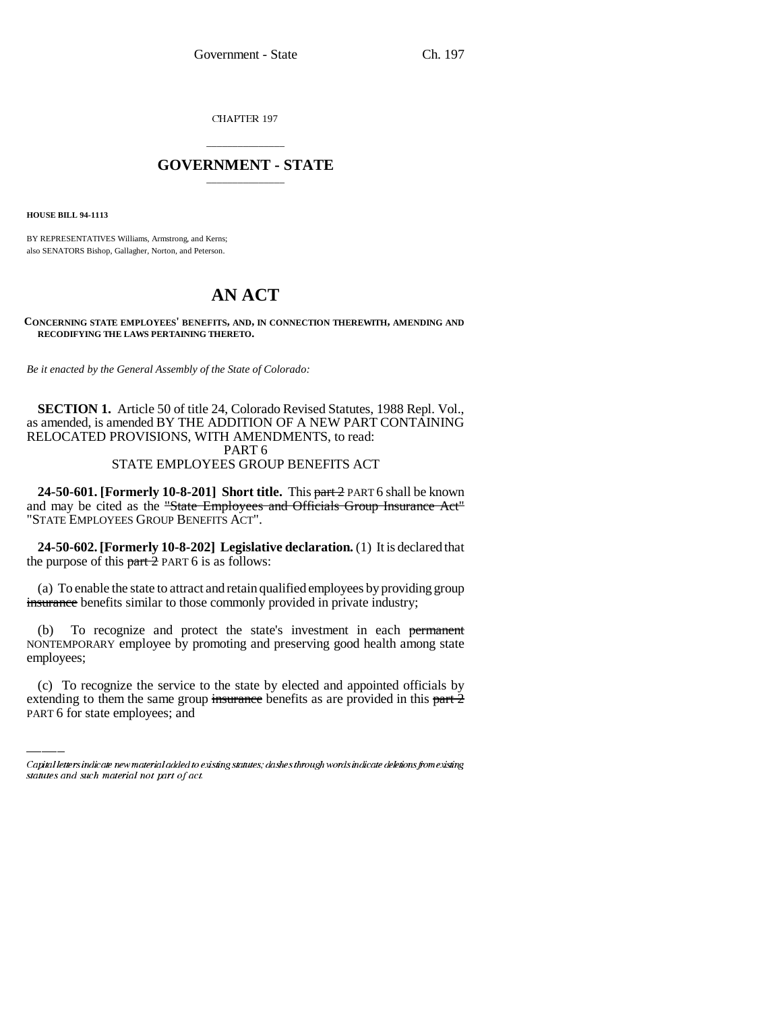CHAPTER 197

# \_\_\_\_\_\_\_\_\_\_\_\_\_\_\_ **GOVERNMENT - STATE** \_\_\_\_\_\_\_\_\_\_\_\_\_\_\_

**HOUSE BILL 94-1113**

BY REPRESENTATIVES Williams, Armstrong, and Kerns; also SENATORS Bishop, Gallagher, Norton, and Peterson.

# **AN ACT**

#### **CONCERNING STATE EMPLOYEES' BENEFITS, AND, IN CONNECTION THEREWITH, AMENDING AND RECODIFYING THE LAWS PERTAINING THERETO.**

*Be it enacted by the General Assembly of the State of Colorado:*

# **SECTION 1.** Article 50 of title 24, Colorado Revised Statutes, 1988 Repl. Vol., as amended, is amended BY THE ADDITION OF A NEW PART CONTAINING RELOCATED PROVISIONS, WITH AMENDMENTS, to read: PART 6 STATE EMPLOYEES GROUP BENEFITS ACT

**24-50-601. [Formerly 10-8-201] Short title.** This part 2 PART 6 shall be known and may be cited as the "State Employees and Officials Group Insurance Act" "STATE EMPLOYEES GROUP BENEFITS ACT".

**24-50-602. [Formerly 10-8-202] Legislative declaration.** (1) It is declared that the purpose of this  $part\overline{2}$  PART 6 is as follows:

(a) To enable the state to attract and retain qualified employees by providing group insurance benefits similar to those commonly provided in private industry;

employees; (b) To recognize and protect the state's investment in each permanent NONTEMPORARY employee by promoting and preserving good health among state

(c) To recognize the service to the state by elected and appointed officials by extending to them the same group insurance benefits as are provided in this part  $\frac{1}{2}$ PART 6 for state employees; and

Capital letters indicate new material added to existing statutes; dashes through words indicate deletions from existing statutes and such material not part of act.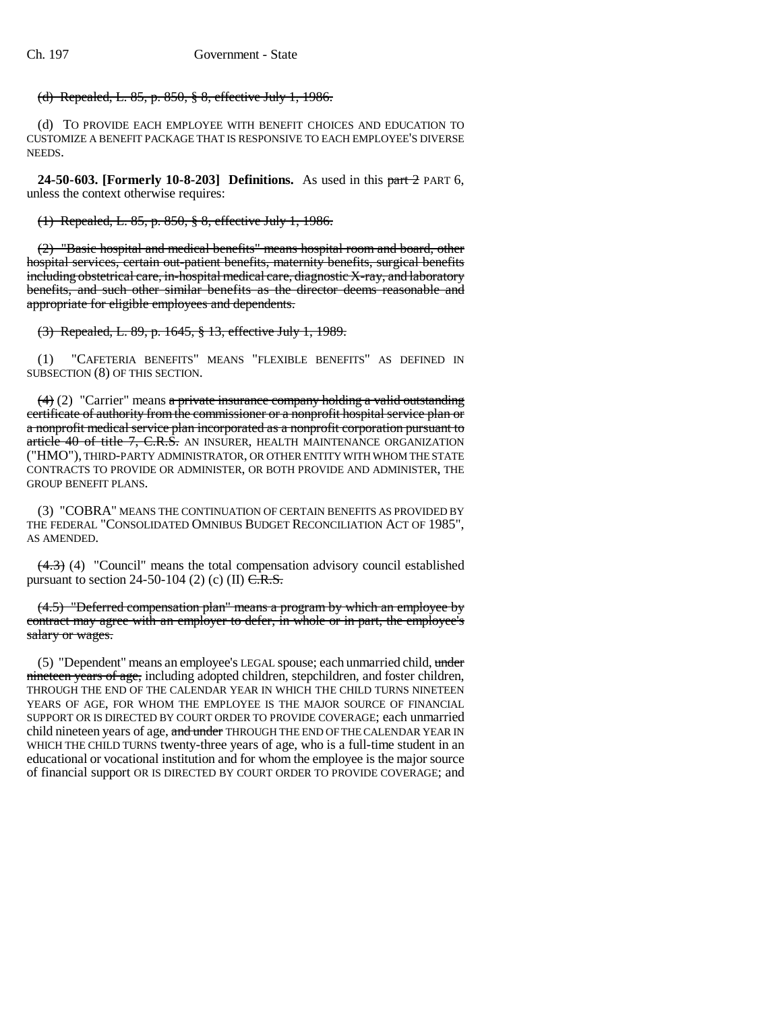# (d) Repealed, L. 85, p. 850, § 8, effective July 1, 1986.

(d) TO PROVIDE EACH EMPLOYEE WITH BENEFIT CHOICES AND EDUCATION TO CUSTOMIZE A BENEFIT PACKAGE THAT IS RESPONSIVE TO EACH EMPLOYEE'S DIVERSE NEEDS.

**24-50-603. [Formerly 10-8-203] Definitions.** As used in this part 2 PART 6, unless the context otherwise requires:

(1) Repealed, L. 85, p. 850, § 8, effective July 1, 1986.

(2) "Basic hospital and medical benefits" means hospital room and board, other hospital services, certain out-patient benefits, maternity benefits, surgical benefits including obstetrical care, in-hospital medical care, diagnostic X-ray, and laboratory benefits, and such other similar benefits as the director deems reasonable and appropriate for eligible employees and dependents.

(3) Repealed, L. 89, p. 1645, § 13, effective July 1, 1989.

(1) "CAFETERIA BENEFITS" MEANS "FLEXIBLE BENEFITS" AS DEFINED IN SUBSECTION (8) OF THIS SECTION.

 $(4)$  (2) "Carrier" means a private insurance company holding a valid outstanding certificate of authority from the commissioner or a nonprofit hospital service plan or a nonprofit medical service plan incorporated as a nonprofit corporation pursuant to article 40 of title 7, C.R.S. AN INSURER, HEALTH MAINTENANCE ORGANIZATION ("HMO"), THIRD-PARTY ADMINISTRATOR, OR OTHER ENTITY WITH WHOM THE STATE CONTRACTS TO PROVIDE OR ADMINISTER, OR BOTH PROVIDE AND ADMINISTER, THE GROUP BENEFIT PLANS.

(3) "COBRA" MEANS THE CONTINUATION OF CERTAIN BENEFITS AS PROVIDED BY THE FEDERAL "CONSOLIDATED OMNIBUS BUDGET RECONCILIATION ACT OF 1985", AS AMENDED.

 $(4.3)$  (4) "Council" means the total compensation advisory council established pursuant to section 24-50-104 (2) (c) (II)  $\overline{C.R.S.}$ 

(4.5) "Deferred compensation plan" means a program by which an employee by contract may agree with an employer to defer, in whole or in part, the employee's salary or wages.

(5) "Dependent" means an employee's LEGAL spouse; each unmarried child, under nineteen years of age, including adopted children, stepchildren, and foster children, THROUGH THE END OF THE CALENDAR YEAR IN WHICH THE CHILD TURNS NINETEEN YEARS OF AGE, FOR WHOM THE EMPLOYEE IS THE MAJOR SOURCE OF FINANCIAL SUPPORT OR IS DIRECTED BY COURT ORDER TO PROVIDE COVERAGE; each unmarried child nineteen years of age, and under THROUGH THE END OF THE CALENDAR YEAR IN WHICH THE CHILD TURNS twenty-three years of age, who is a full-time student in an educational or vocational institution and for whom the employee is the major source of financial support OR IS DIRECTED BY COURT ORDER TO PROVIDE COVERAGE; and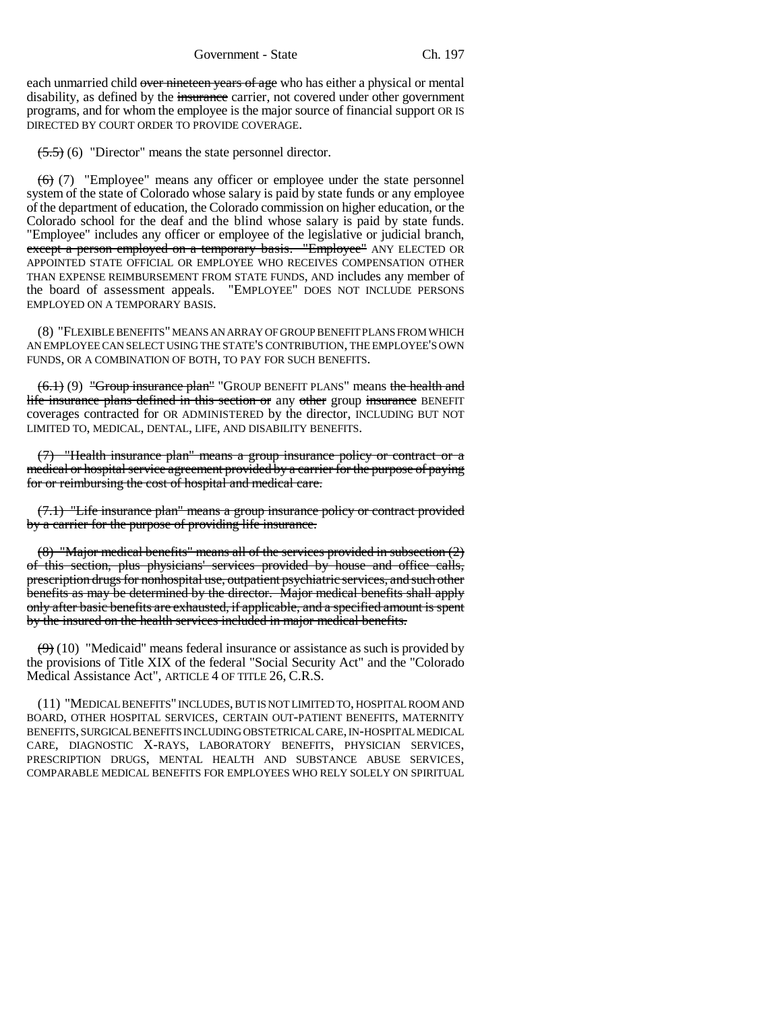Government - State Ch. 197

each unmarried child over nineteen years of age who has either a physical or mental disability, as defined by the *insurance* carrier, not covered under other government programs, and for whom the employee is the major source of financial support OR IS DIRECTED BY COURT ORDER TO PROVIDE COVERAGE.

 $(5.5)$  (6) "Director" means the state personnel director.

 $(6)$  (7) "Employee" means any officer or employee under the state personnel system of the state of Colorado whose salary is paid by state funds or any employee of the department of education, the Colorado commission on higher education, or the Colorado school for the deaf and the blind whose salary is paid by state funds. "Employee" includes any officer or employee of the legislative or judicial branch, except a person employed on a temporary basis. "Employee" ANY ELECTED OR APPOINTED STATE OFFICIAL OR EMPLOYEE WHO RECEIVES COMPENSATION OTHER THAN EXPENSE REIMBURSEMENT FROM STATE FUNDS, AND includes any member of the board of assessment appeals. "EMPLOYEE" DOES NOT INCLUDE PERSONS EMPLOYED ON A TEMPORARY BASIS.

(8) "FLEXIBLE BENEFITS" MEANS AN ARRAY OF GROUP BENEFIT PLANS FROM WHICH AN EMPLOYEE CAN SELECT USING THE STATE'S CONTRIBUTION, THE EMPLOYEE'S OWN FUNDS, OR A COMBINATION OF BOTH, TO PAY FOR SUCH BENEFITS.

 $(6.1)$  (9) "Group insurance plan" "GROUP BENEFIT PLANS" means the health and life insurance plans defined in this section or any other group insurance BENEFIT coverages contracted for OR ADMINISTERED by the director, INCLUDING BUT NOT LIMITED TO, MEDICAL, DENTAL, LIFE, AND DISABILITY BENEFITS.

(7) "Health insurance plan" means a group insurance policy or contract or a medical or hospital service agreement provided by a carrier for the purpose of paying for or reimbursing the cost of hospital and medical care.

(7.1) "Life insurance plan" means a group insurance policy or contract provided by a carrier for the purpose of providing life insurance.

(8) "Major medical benefits" means all of the services provided in subsection (2) of this section, plus physicians' services provided by house and office calls, prescription drugs for nonhospital use, outpatient psychiatric services, and such other benefits as may be determined by the director. Major medical benefits shall apply only after basic benefits are exhausted, if applicable, and a specified amount is spent by the insured on the health services included in major medical benefits.

 $(9)$  (10) "Medicaid" means federal insurance or assistance as such is provided by the provisions of Title XIX of the federal "Social Security Act" and the "Colorado Medical Assistance Act", ARTICLE 4 OF TITLE 26, C.R.S.

(11) "MEDICAL BENEFITS" INCLUDES, BUT IS NOT LIMITED TO, HOSPITAL ROOM AND BOARD, OTHER HOSPITAL SERVICES, CERTAIN OUT-PATIENT BENEFITS, MATERNITY BENEFITS, SURGICAL BENEFITS INCLUDING OBSTETRICAL CARE, IN-HOSPITAL MEDICAL CARE, DIAGNOSTIC X-RAYS, LABORATORY BENEFITS, PHYSICIAN SERVICES, PRESCRIPTION DRUGS, MENTAL HEALTH AND SUBSTANCE ABUSE SERVICES, COMPARABLE MEDICAL BENEFITS FOR EMPLOYEES WHO RELY SOLELY ON SPIRITUAL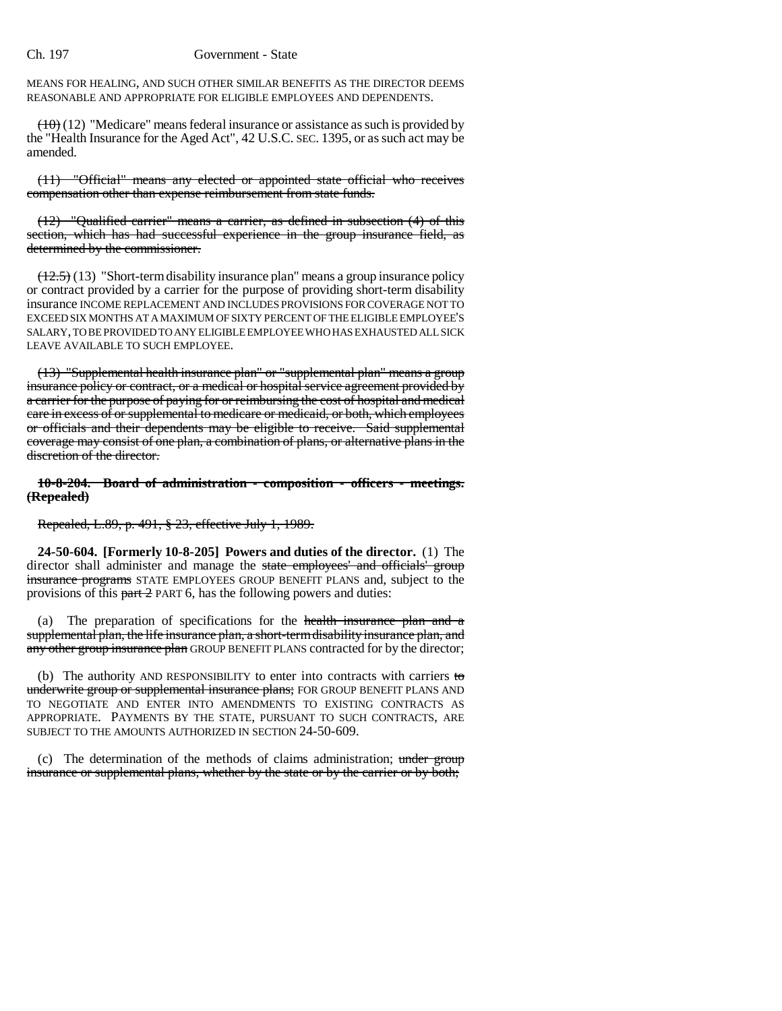MEANS FOR HEALING, AND SUCH OTHER SIMILAR BENEFITS AS THE DIRECTOR DEEMS REASONABLE AND APPROPRIATE FOR ELIGIBLE EMPLOYEES AND DEPENDENTS.

 $(10)(12)$  "Medicare" means federal insurance or assistance as such is provided by the "Health Insurance for the Aged Act", 42 U.S.C. SEC. 1395, or as such act may be amended.

(11) "Official" means any elected or appointed state official who receives compensation other than expense reimbursement from state funds.

(12) "Qualified carrier" means a carrier, as defined in subsection (4) of this section, which has had successful experience in the group insurance field, as determined by the commissioner.

 $(12.5)$  (13) "Short-term disability insurance plan" means a group insurance policy or contract provided by a carrier for the purpose of providing short-term disability insurance INCOME REPLACEMENT AND INCLUDES PROVISIONS FOR COVERAGE NOT TO EXCEED SIX MONTHS AT A MAXIMUM OF SIXTY PERCENT OF THE ELIGIBLE EMPLOYEE'S SALARY, TO BE PROVIDED TO ANY ELIGIBLE EMPLOYEE WHO HAS EXHAUSTED ALL SICK LEAVE AVAILABLE TO SUCH EMPLOYEE.

(13) "Supplemental health insurance plan" or "supplemental plan" means a group insurance policy or contract, or a medical or hospital service agreement provided by a carrier for the purpose of paying for or reimbursing the cost of hospital and medical care in excess of or supplemental to medicare or medicaid, or both, which employees or officials and their dependents may be eligible to receive. Said supplemental coverage may consist of one plan, a combination of plans, or alternative plans in the discretion of the director.

**10-8-204. Board of administration - composition - officers - meetings. (Repealed)**

Repealed, L.89, p. 491, § 23, effective July 1, 1989.

**24-50-604. [Formerly 10-8-205] Powers and duties of the director.** (1) The director shall administer and manage the state employees' and officials' group insurance programs STATE EMPLOYEES GROUP BENEFIT PLANS and, subject to the provisions of this  $part 2$  PART 6, has the following powers and duties:

(a) The preparation of specifications for the health insurance plan and a supplemental plan, the life insurance plan, a short-term disability insurance plan, and any other group insurance plan GROUP BENEFIT PLANS contracted for by the director;

(b) The authority AND RESPONSIBILITY to enter into contracts with carriers to underwrite group or supplemental insurance plans; FOR GROUP BENEFIT PLANS AND TO NEGOTIATE AND ENTER INTO AMENDMENTS TO EXISTING CONTRACTS AS APPROPRIATE. PAYMENTS BY THE STATE, PURSUANT TO SUCH CONTRACTS, ARE SUBJECT TO THE AMOUNTS AUTHORIZED IN SECTION 24-50-609.

(c) The determination of the methods of claims administration; under group insurance or supplemental plans, whether by the state or by the carrier or by both;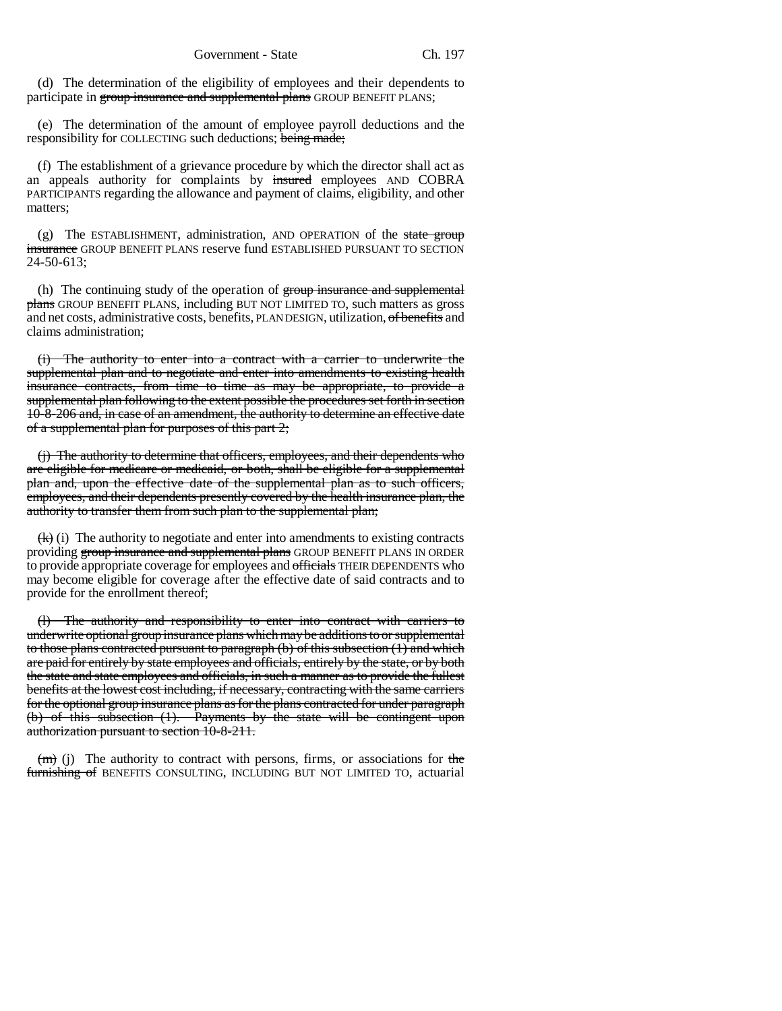(d) The determination of the eligibility of employees and their dependents to participate in group insurance and supplemental plans GROUP BENEFIT PLANS;

(e) The determination of the amount of employee payroll deductions and the responsibility for COLLECTING such deductions; being made;

(f) The establishment of a grievance procedure by which the director shall act as an appeals authority for complaints by insured employees AND COBRA PARTICIPANTS regarding the allowance and payment of claims, eligibility, and other matters;

 $(g)$  The ESTABLISHMENT, administration, AND OPERATION of the state group insurance GROUP BENEFIT PLANS reserve fund ESTABLISHED PURSUANT TO SECTION 24-50-613;

(h) The continuing study of the operation of group insurance and supplemental plans GROUP BENEFIT PLANS, including BUT NOT LIMITED TO, such matters as gross and net costs, administrative costs, benefits, PLAN DESIGN, utilization, of benefits and claims administration;

(i) The authority to enter into a contract with a carrier to underwrite the supplemental plan and to negotiate and enter into amendments to existing health insurance contracts, from time to time as may be appropriate, to provide a supplemental plan following to the extent possible the procedures set forth in section 10-8-206 and, in case of an amendment, the authority to determine an effective date of a supplemental plan for purposes of this part 2;

(j) The authority to determine that officers, employees, and their dependents who are eligible for medicare or medicaid, or both, shall be eligible for a supplemental plan and, upon the effective date of the supplemental plan as to such officers, employees, and their dependents presently covered by the health insurance plan, the authority to transfer them from such plan to the supplemental plan;

 $(k)$  (i) The authority to negotiate and enter into amendments to existing contracts providing group insurance and supplemental plans GROUP BENEFIT PLANS IN ORDER to provide appropriate coverage for employees and officials THEIR DEPENDENTS who may become eligible for coverage after the effective date of said contracts and to provide for the enrollment thereof;

(l) The authority and responsibility to enter into contract with carriers to underwrite optional group insurance plans which may be additions to or supplemental to those plans contracted pursuant to paragraph (b) of this subsection (1) and which are paid for entirely by state employees and officials, entirely by the state, or by both the state and state employees and officials, in such a manner as to provide the fullest benefits at the lowest cost including, if necessary, contracting with the same carriers for the optional group insurance plans as for the plans contracted for under paragraph (b) of this subsection (1). Payments by the state will be contingent upon authorization pursuant to section 10-8-211.

 $(m)$  (j) The authority to contract with persons, firms, or associations for the furnishing of BENEFITS CONSULTING, INCLUDING BUT NOT LIMITED TO, actuarial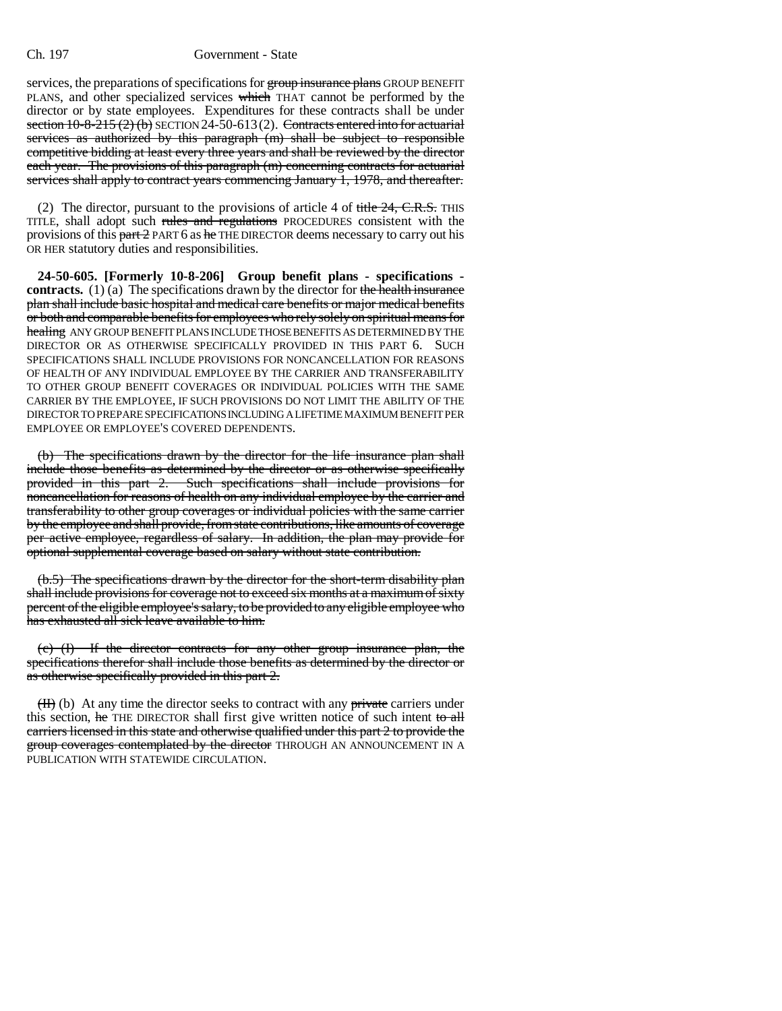services, the preparations of specifications for group insurance plans GROUP BENEFIT PLANS, and other specialized services which THAT cannot be performed by the director or by state employees. Expenditures for these contracts shall be under section  $10-8-215(2)$  (b) SECTION 24-50-613(2). Contracts entered into for actuarial services as authorized by this paragraph (m) shall be subject to responsible competitive bidding at least every three years and shall be reviewed by the director each year. The provisions of this paragraph (m) concerning contracts for actuarial services shall apply to contract years commencing January 1, 1978, and thereafter.

(2) The director, pursuant to the provisions of article 4 of  $\frac{f}{\text{title}}$  24, C.R.S. THIS TITLE, shall adopt such rules and regulations PROCEDURES consistent with the provisions of this  $part 2$  PART 6 as  $he$  THE DIRECTOR deems necessary to carry out his OR HER statutory duties and responsibilities.

**24-50-605. [Formerly 10-8-206] Group benefit plans - specifications contracts.** (1) (a) The specifications drawn by the director for the health insurance plan shall include basic hospital and medical care benefits or major medical benefits or both and comparable benefits for employees who rely solely on spiritual means for healing ANY GROUP BENEFIT PLANS INCLUDE THOSE BENEFITS AS DETERMINED BY THE DIRECTOR OR AS OTHERWISE SPECIFICALLY PROVIDED IN THIS PART 6. SUCH SPECIFICATIONS SHALL INCLUDE PROVISIONS FOR NONCANCELLATION FOR REASONS OF HEALTH OF ANY INDIVIDUAL EMPLOYEE BY THE CARRIER AND TRANSFERABILITY TO OTHER GROUP BENEFIT COVERAGES OR INDIVIDUAL POLICIES WITH THE SAME CARRIER BY THE EMPLOYEE, IF SUCH PROVISIONS DO NOT LIMIT THE ABILITY OF THE DIRECTOR TO PREPARE SPECIFICATIONS INCLUDING A LIFETIME MAXIMUM BENEFIT PER EMPLOYEE OR EMPLOYEE'S COVERED DEPENDENTS.

(b) The specifications drawn by the director for the life insurance plan shall include those benefits as determined by the director or as otherwise specifically provided in this part 2. Such specifications shall include provisions for noncancellation for reasons of health on any individual employee by the carrier and transferability to other group coverages or individual policies with the same carrier by the employee and shall provide, from state contributions, like amounts of coverage per active employee, regardless of salary. In addition, the plan may provide for optional supplemental coverage based on salary without state contribution.

(b.5) The specifications drawn by the director for the short-term disability plan shall include provisions for coverage not to exceed six months at a maximum of sixty percent of the eligible employee's salary, to be provided to any eligible employee who has exhausted all sick leave available to him.

(c) (I) If the director contracts for any other group insurance plan, the specifications therefor shall include those benefits as determined by the director or as otherwise specifically provided in this part 2.

 $(H)$  (b) At any time the director seeks to contract with any private carriers under this section, he THE DIRECTOR shall first give written notice of such intent to all carriers licensed in this state and otherwise qualified under this part 2 to provide the group coverages contemplated by the director THROUGH AN ANNOUNCEMENT IN A PUBLICATION WITH STATEWIDE CIRCULATION.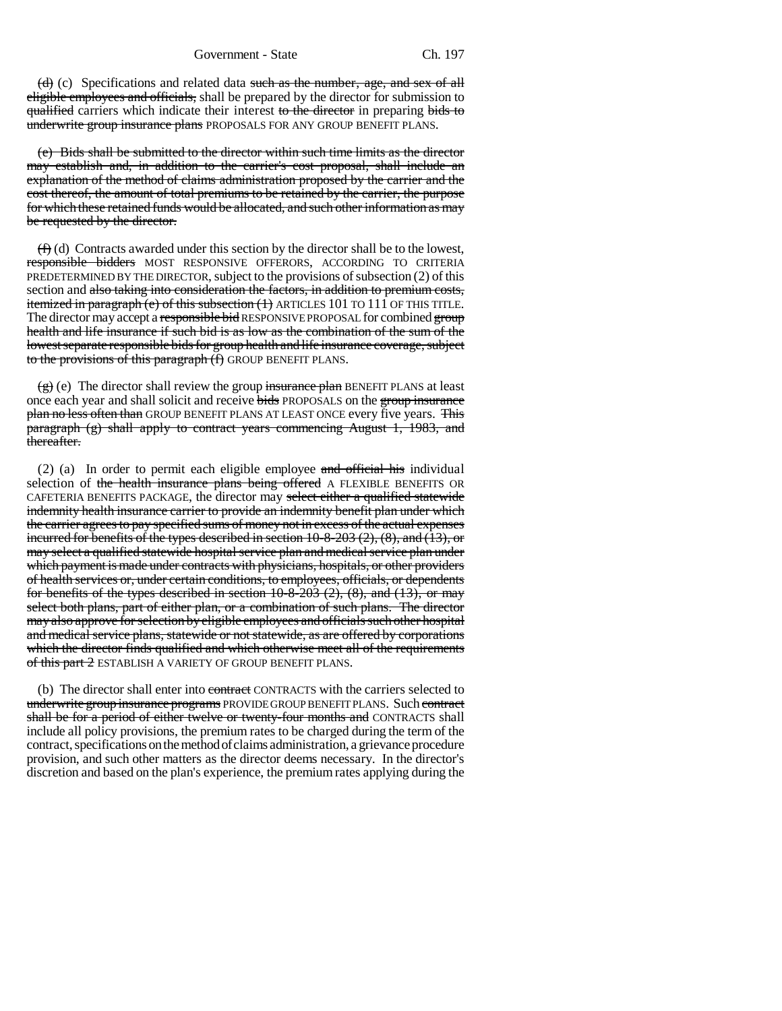$(d)$  (c) Specifications and related data such as the number, age, and sex of all eligible employees and officials, shall be prepared by the director for submission to qualified carriers which indicate their interest to the director in preparing bids to underwrite group insurance plans PROPOSALS FOR ANY GROUP BENEFIT PLANS.

(e) Bids shall be submitted to the director within such time limits as the director may establish and, in addition to the carrier's cost proposal, shall include an explanation of the method of claims administration proposed by the carrier and the cost thereof, the amount of total premiums to be retained by the carrier, the purpose for which these retained funds would be allocated, and such other information as may be requested by the director.

 $(f)$  (d) Contracts awarded under this section by the director shall be to the lowest, responsible bidders MOST RESPONSIVE OFFERORS, ACCORDING TO CRITERIA PREDETERMINED BY THE DIRECTOR, subject to the provisions of subsection (2) of this section and also taking into consideration the factors, in addition to premium costs, itemized in paragraph (e) of this subsection (1) ARTICLES 101 TO 111 OF THIS TITLE. The director may accept a responsible bid RESPONSIVE PROPOSAL for combined group health and life insurance if such bid is as low as the combination of the sum of the lowest separate responsible bids for group health and life insurance coverage, subject to the provisions of this paragraph (f) GROUP BENEFIT PLANS.

 $\left(\frac{g}{g}\right)$  (e) The director shall review the group insurance plan BENEFIT PLANS at least once each year and shall solicit and receive bids PROPOSALS on the group insurance plan no less often than GROUP BENEFIT PLANS AT LEAST ONCE every five years. This paragraph (g) shall apply to contract years commencing August 1, 1983, and thereafter.

(2) (a) In order to permit each eligible employee  $\overline{\text{and}}$  official his individual selection of the health insurance plans being offered A FLEXIBLE BENEFITS OR CAFETERIA BENEFITS PACKAGE, the director may select either a qualified statewide indemnity health insurance carrier to provide an indemnity benefit plan under which the carrier agrees to pay specified sums of money not in excess of the actual expenses incurred for benefits of the types described in section 10-8-203 (2), (8), and (13), or may select a qualified statewide hospital service plan and medical service plan under which payment is made under contracts with physicians, hospitals, or other providers of health services or, under certain conditions, to employees, officials, or dependents for benefits of the types described in section  $10-8-203$   $(2)$ ,  $(8)$ , and  $(13)$ , or may select both plans, part of either plan, or a combination of such plans. The director may also approve for selection by eligible employees and officials such other hospital and medical service plans, statewide or not statewide, as are offered by corporations which the director finds qualified and which otherwise meet all of the requirements of this part 2 ESTABLISH A VARIETY OF GROUP BENEFIT PLANS.

(b) The director shall enter into contract CONTRACTS with the carriers selected to underwrite group insurance programs PROVIDE GROUP BENEFIT PLANS. Such contract shall be for a period of either twelve or twenty-four months and CONTRACTS shall include all policy provisions, the premium rates to be charged during the term of the contract, specifications on the method of claims administration, a grievance procedure provision, and such other matters as the director deems necessary. In the director's discretion and based on the plan's experience, the premium rates applying during the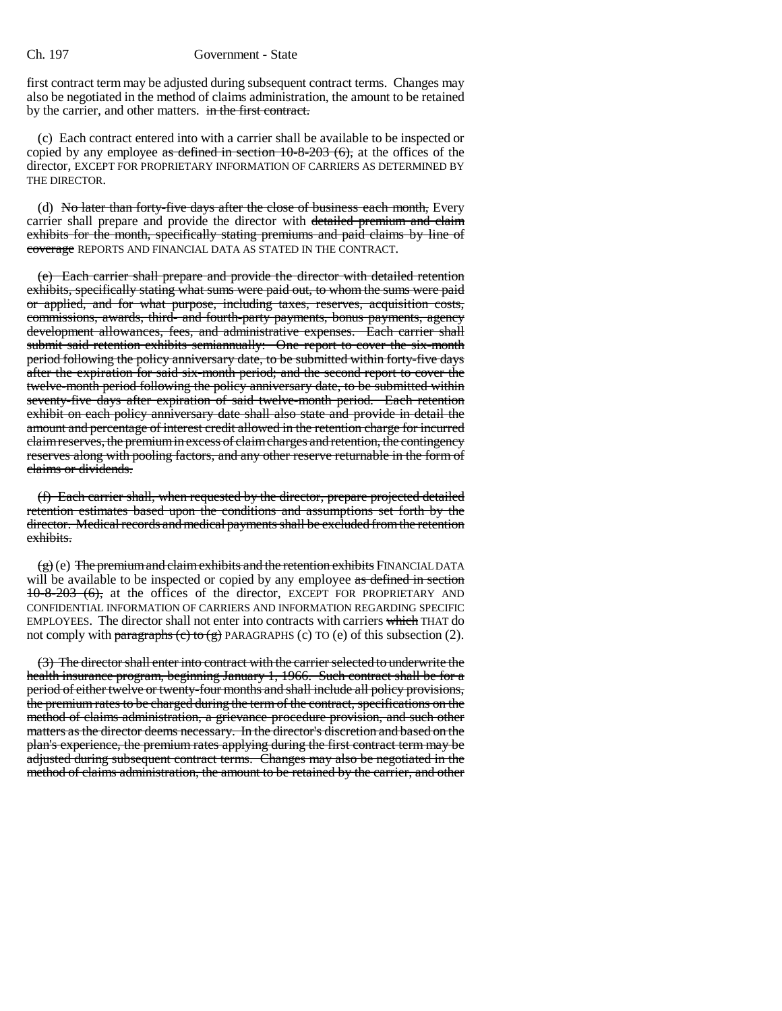first contract term may be adjusted during subsequent contract terms. Changes may also be negotiated in the method of claims administration, the amount to be retained by the carrier, and other matters. in the first contract.

(c) Each contract entered into with a carrier shall be available to be inspected or copied by any employee as defined in section  $10-8-203$  (6), at the offices of the director, EXCEPT FOR PROPRIETARY INFORMATION OF CARRIERS AS DETERMINED BY THE DIRECTOR.

(d) No later than forty-five days after the close of business each month, Every carrier shall prepare and provide the director with detailed premium and claim exhibits for the month, specifically stating premiums and paid claims by line of coverage REPORTS AND FINANCIAL DATA AS STATED IN THE CONTRACT.

(e) Each carrier shall prepare and provide the director with detailed retention exhibits, specifically stating what sums were paid out, to whom the sums were paid or applied, and for what purpose, including taxes, reserves, acquisition costs, commissions, awards, third- and fourth-party payments, bonus payments, agency development allowances, fees, and administrative expenses. Each carrier shall submit said retention exhibits semiannually: One report to cover the six-month period following the policy anniversary date, to be submitted within forty-five days after the expiration for said six-month period; and the second report to cover the twelve-month period following the policy anniversary date, to be submitted within seventy-five days after expiration of said twelve-month period. Each retention exhibit on each policy anniversary date shall also state and provide in detail the amount and percentage of interest credit allowed in the retention charge for incurred claim reserves, the premium in excess of claim charges and retention, the contingency reserves along with pooling factors, and any other reserve returnable in the form of claims or dividends.

(f) Each carrier shall, when requested by the director, prepare projected detailed retention estimates based upon the conditions and assumptions set forth by the director. Medical records and medical payments shall be excluded from the retention exhibits.

 $(g)$  (e) The premium and claim exhibits and the retention exhibits FINANCIAL DATA will be available to be inspected or copied by any employee as defined in section 10-8-203 (6), at the offices of the director, EXCEPT FOR PROPRIETARY AND CONFIDENTIAL INFORMATION OF CARRIERS AND INFORMATION REGARDING SPECIFIC EMPLOYEES. The director shall not enter into contracts with carriers which THAT do not comply with paragraphs (c) to (g) PARAGRAPHS (c) TO (e) of this subsection (2).

(3) The director shall enter into contract with the carrier selected to underwrite the health insurance program, beginning January 1, 1966. Such contract shall be for a period of either twelve or twenty-four months and shall include all policy provisions, the premium rates to be charged during the term of the contract, specifications on the method of claims administration, a grievance procedure provision, and such other matters as the director deems necessary. In the director's discretion and based on the plan's experience, the premium rates applying during the first contract term may be adjusted during subsequent contract terms. Changes may also be negotiated in the method of claims administration, the amount to be retained by the carrier, and other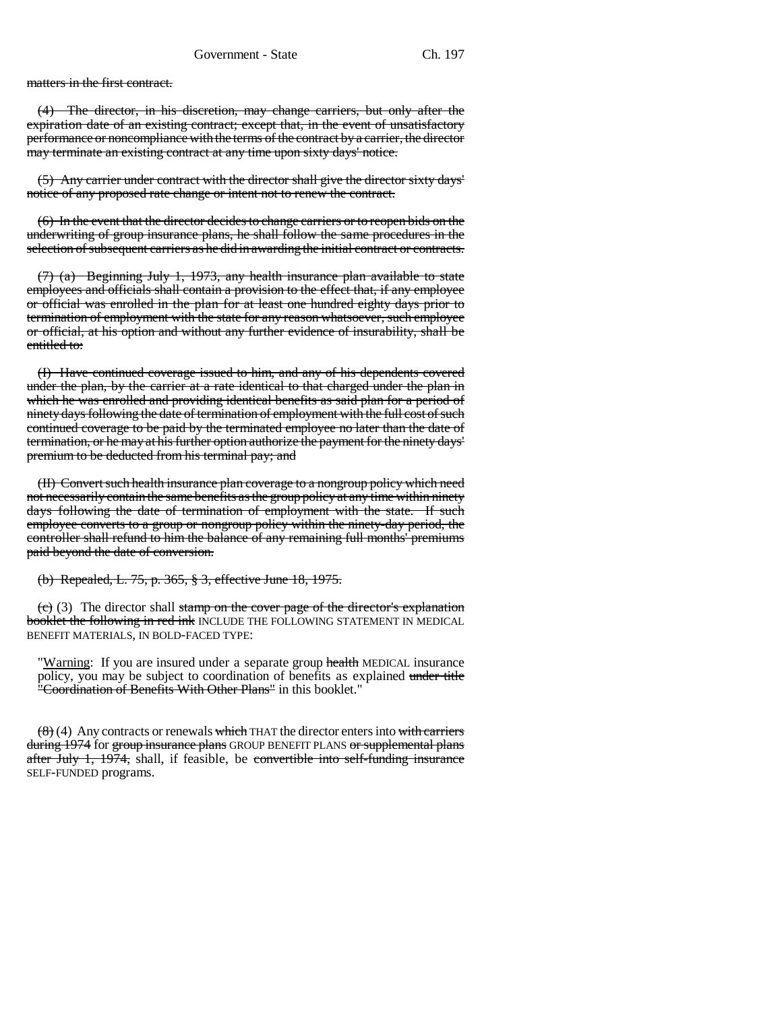matters in the first contract.

(4) The director, in his discretion, may change carriers, but only after the expiration date of an existing contract; except that, in the event of unsatisfactory performance or noncompliance with the terms of the contract by a carrier, the director may terminate an existing contract at any time upon sixty days' notice.

(5) Any carrier under contract with the director shall give the director sixty days' notice of any proposed rate change or intent not to renew the contract.

(6) In the event that the director decides to change carriers or to reopen bids on the underwriting of group insurance plans, he shall follow the same procedures in the selection of subsequent carriers as he did in awarding the initial contract or contracts.

(7) (a) Beginning July 1, 1973, any health insurance plan available to state employees and officials shall contain a provision to the effect that, if any employee or official was enrolled in the plan for at least one hundred eighty days prior to termination of employment with the state for any reason whatsoever, such employee or official, at his option and without any further evidence of insurability, shall be entitled to:

(I) Have continued coverage issued to him, and any of his dependents covered under the plan, by the carrier at a rate identical to that charged under the plan in which he was enrolled and providing identical benefits as said plan for a period of ninety days following the date of termination of employment with the full cost of such continued coverage to be paid by the terminated employee no later than the date of termination, or he may at his further option authorize the payment for the ninety days' premium to be deducted from his terminal pay; and

(II) Convert such health insurance plan coverage to a nongroup policy which need not necessarily contain the same benefits as the group policy at any time within ninety days following the date of termination of employment with the state. If such employee converts to a group or nongroup policy within the ninety-day period, the controller shall refund to him the balance of any remaining full months' premiums paid beyond the date of conversion.

(b) Repealed, L. 75, p. 365, § 3, effective June 18, 1975.

 $(e)$  (3) The director shall stamp on the cover page of the director's explanation booklet the following in red ink INCLUDE THE FOLLOWING STATEMENT IN MEDICAL BENEFIT MATERIALS, IN BOLD-FACED TYPE:

"Warning: If you are insured under a separate group health MEDICAL insurance policy, you may be subject to coordination of benefits as explained under title "Coordination of Benefits With Other Plans" in this booklet."

 $(8)$  (4) Any contracts or renewals which THAT the director enters into with carriers during 1974 for group insurance plans GROUP BENEFIT PLANS or supplemental plans after July 1, 1974, shall, if feasible, be convertible into self-funding insurance SELF-FUNDED programs.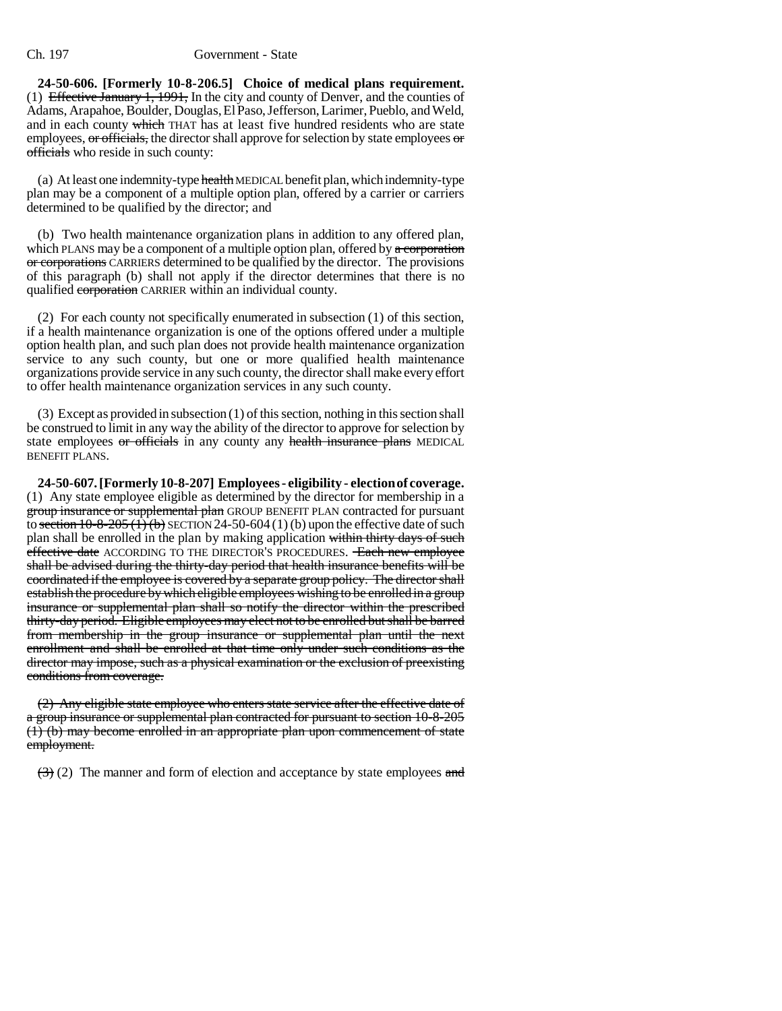**24-50-606. [Formerly 10-8-206.5] Choice of medical plans requirement.** (1) Effective January 1, 1991, In the city and county of Denver, and the counties of Adams, Arapahoe, Boulder, Douglas, El Paso, Jefferson, Larimer, Pueblo, and Weld, and in each county which THAT has at least five hundred residents who are state employees,  $\sigma$  officials, the director shall approve for selection by state employees  $\sigma$ officials who reside in such county:

(a) At least one indemnity-type health MEDICAL benefit plan, which indemnity-type plan may be a component of a multiple option plan, offered by a carrier or carriers determined to be qualified by the director; and

(b) Two health maintenance organization plans in addition to any offered plan, which PLANS may be a component of a multiple option plan, offered by  $\alpha$  corporation or corporations CARRIERS determined to be qualified by the director. The provisions of this paragraph (b) shall not apply if the director determines that there is no qualified corporation CARRIER within an individual county.

(2) For each county not specifically enumerated in subsection (1) of this section, if a health maintenance organization is one of the options offered under a multiple option health plan, and such plan does not provide health maintenance organization service to any such county, but one or more qualified health maintenance organizations provide service in any such county, the director shall make every effort to offer health maintenance organization services in any such county.

(3) Except as provided in subsection (1) of this section, nothing in this section shall be construed to limit in any way the ability of the director to approve for selection by state employees or officials in any county any health insurance plans MEDICAL BENEFIT PLANS.

**24-50-607. [Formerly 10-8-207] Employees - eligibility - election of coverage.** (1) Any state employee eligible as determined by the director for membership in a group insurance or supplemental plan GROUP BENEFIT PLAN contracted for pursuant to section  $10-8-205(1)(b)$  SECTION 24-50-604 (1) (b) upon the effective date of such plan shall be enrolled in the plan by making application within thirty days of such effective date ACCORDING TO THE DIRECTOR'S PROCEDURES. Each new employee shall be advised during the thirty-day period that health insurance benefits will be coordinated if the employee is covered by a separate group policy. The director shall establish the procedure by which eligible employees wishing to be enrolled in a group insurance or supplemental plan shall so notify the director within the prescribed thirty-day period. Eligible employees may elect not to be enrolled but shall be barred from membership in the group insurance or supplemental plan until the next enrollment and shall be enrolled at that time only under such conditions as the director may impose, such as a physical examination or the exclusion of preexisting conditions from coverage.

(2) Any eligible state employee who enters state service after the effective date of a group insurance or supplemental plan contracted for pursuant to section 10-8-205 (1) (b) may become enrolled in an appropriate plan upon commencement of state employment.

 $(3)$  (2) The manner and form of election and acceptance by state employees and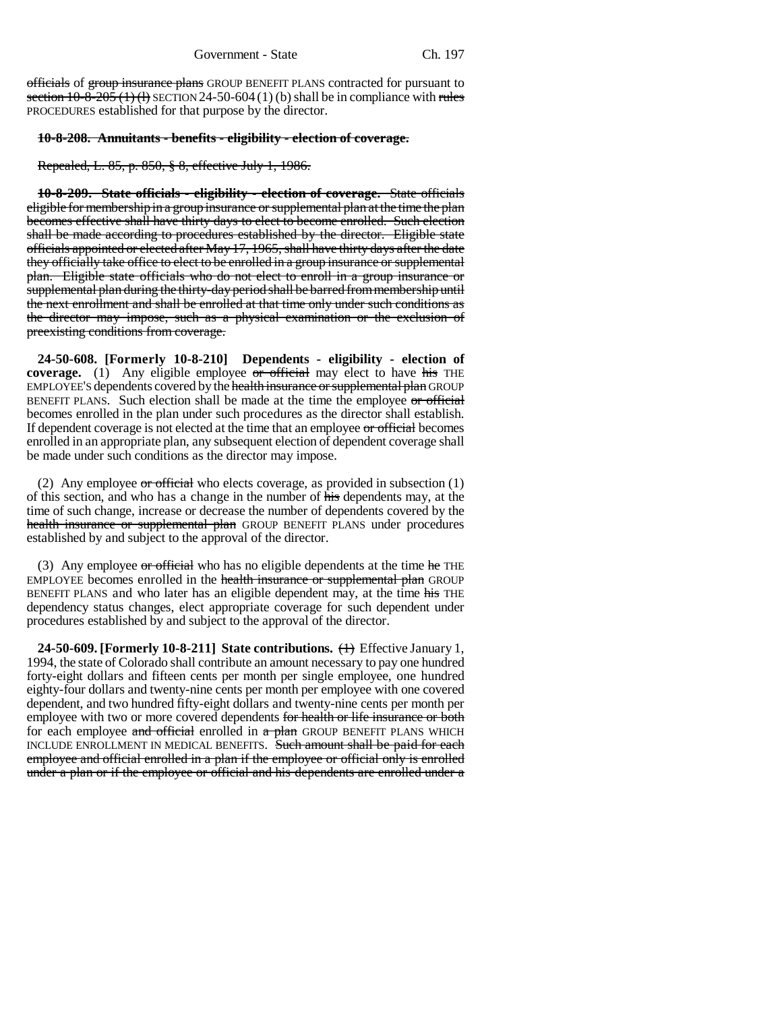officials of group insurance plans GROUP BENEFIT PLANS contracted for pursuant to section  $10-8-205$  (1) (1) SECTION 24-50-604 (1) (b) shall be in compliance with rules PROCEDURES established for that purpose by the director.

#### **10-8-208. Annuitants - benefits - eligibility - election of coverage.**

Repealed, L. 85, p. 850, § 8, effective July 1, 1986.

**10-8-209. State officials - eligibility - election of coverage.** State officials eligible for membership in a group insurance or supplemental plan at the time the plan becomes effective shall have thirty days to elect to become enrolled. Such election shall be made according to procedures established by the director. Eligible state officials appointed or elected after May 17, 1965, shall have thirty days after the date they officially take office to elect to be enrolled in a group insurance or supplemental plan. Eligible state officials who do not elect to enroll in a group insurance or supplemental plan during the thirty-day period shall be barred from membership until the next enrollment and shall be enrolled at that time only under such conditions as the director may impose, such as a physical examination or the exclusion of preexisting conditions from coverage.

**24-50-608. [Formerly 10-8-210] Dependents - eligibility - election of coverage.** (1) Any eligible employee or official may elect to have his THE EMPLOYEE'S dependents covered by the health insurance or supplemental plan GROUP BENEFIT PLANS. Such election shall be made at the time the employee or official becomes enrolled in the plan under such procedures as the director shall establish. If dependent coverage is not elected at the time that an employee or official becomes enrolled in an appropriate plan, any subsequent election of dependent coverage shall be made under such conditions as the director may impose.

(2) Any employee  $\sigma$  official who elects coverage, as provided in subsection (1) of this section, and who has a change in the number of his dependents may, at the time of such change, increase or decrease the number of dependents covered by the health insurance or supplemental plan GROUP BENEFIT PLANS under procedures established by and subject to the approval of the director.

(3) Any employee  $\sigma$  official who has no eligible dependents at the time  $\sigma$  THE EMPLOYEE becomes enrolled in the health insurance or supplemental plan GROUP BENEFIT PLANS and who later has an eligible dependent may, at the time his THE dependency status changes, elect appropriate coverage for such dependent under procedures established by and subject to the approval of the director.

**24-50-609. [Formerly 10-8-211] State contributions.** (1) Effective January 1, 1994, the state of Colorado shall contribute an amount necessary to pay one hundred forty-eight dollars and fifteen cents per month per single employee, one hundred eighty-four dollars and twenty-nine cents per month per employee with one covered dependent, and two hundred fifty-eight dollars and twenty-nine cents per month per employee with two or more covered dependents for health or life insurance or both for each employee and official enrolled in  $\alpha$  plan GROUP BENEFIT PLANS WHICH INCLUDE ENROLLMENT IN MEDICAL BENEFITS. Such amount shall be paid for each employee and official enrolled in a plan if the employee or official only is enrolled under a plan or if the employee or official and his dependents are enrolled under a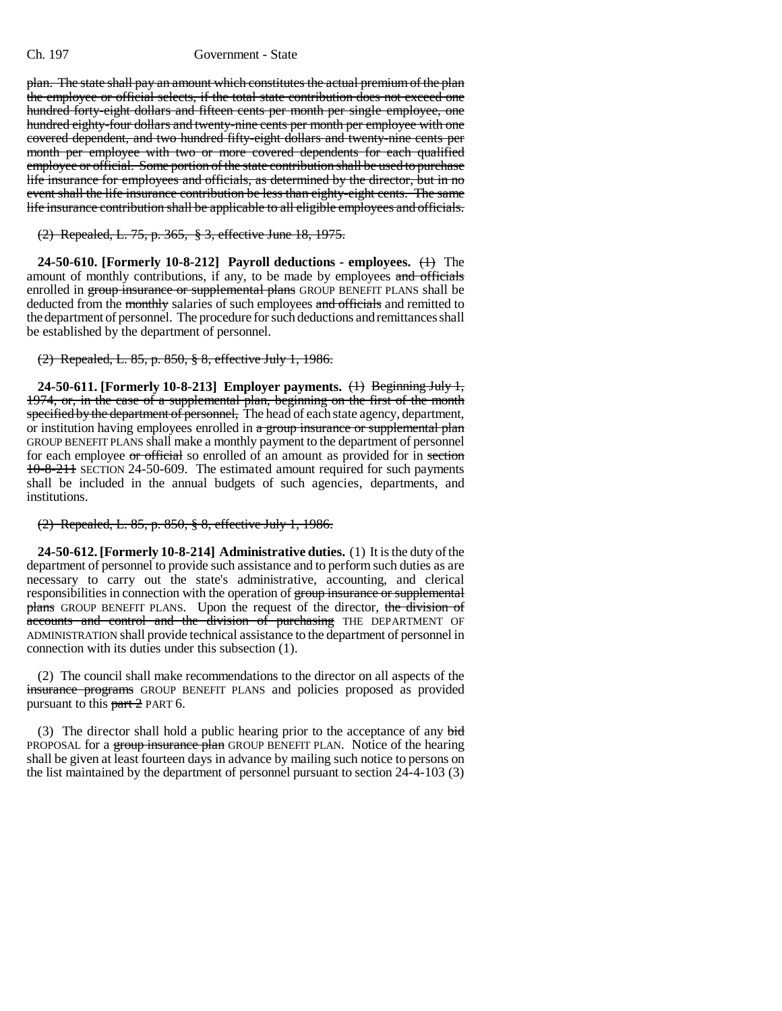plan. The state shall pay an amount which constitutes the actual premium of the plan the employee or official selects, if the total state contribution does not exceed one hundred forty-eight dollars and fifteen cents per month per single employee, one hundred eighty-four dollars and twenty-nine cents per month per employee with one covered dependent, and two hundred fifty-eight dollars and twenty-nine cents per month per employee with two or more covered dependents for each qualified employee or official. Some portion of the state contribution shall be used to purchase life insurance for employees and officials, as determined by the director, but in no event shall the life insurance contribution be less than eighty-eight cents. The same life insurance contribution shall be applicable to all eligible employees and officials.

(2) Repealed, L. 75, p. 365, § 3, effective June 18, 1975.

**24-50-610. [Formerly 10-8-212] Payroll deductions - employees.** (1) The amount of monthly contributions, if any, to be made by employees and officials enrolled in group insurance or supplemental plans GROUP BENEFIT PLANS shall be deducted from the monthly salaries of such employees and officials and remitted to the department of personnel. The procedure for such deductions and remittances shall be established by the department of personnel.

(2) Repealed, L. 85, p. 850, § 8, effective July 1, 1986.

**24-50-611. [Formerly 10-8-213] Employer payments.** (1) Beginning July 1, 1974, or, in the case of a supplemental plan, beginning on the first of the month specified by the department of personnel, The head of each state agency, department, or institution having employees enrolled in a group insurance or supplemental plan GROUP BENEFIT PLANS shall make a monthly payment to the department of personnel for each employee or official so enrolled of an amount as provided for in section 10-8-211 SECTION 24-50-609. The estimated amount required for such payments shall be included in the annual budgets of such agencies, departments, and institutions.

(2) Repealed, L. 85, p. 850, § 8, effective July 1, 1986.

**24-50-612. [Formerly 10-8-214] Administrative duties.** (1) It is the duty of the department of personnel to provide such assistance and to perform such duties as are necessary to carry out the state's administrative, accounting, and clerical responsibilities in connection with the operation of group insurance or supplemental plans GROUP BENEFIT PLANS. Upon the request of the director, the division of accounts and control and the division of purchasing THE DEPARTMENT OF ADMINISTRATION shall provide technical assistance to the department of personnel in connection with its duties under this subsection (1).

(2) The council shall make recommendations to the director on all aspects of the insurance programs GROUP BENEFIT PLANS and policies proposed as provided pursuant to this  $part 2$  PART 6.

(3) The director shall hold a public hearing prior to the acceptance of any  $\frac{1}{\text{bid}}$ PROPOSAL for a group insurance plan GROUP BENEFIT PLAN. Notice of the hearing shall be given at least fourteen days in advance by mailing such notice to persons on the list maintained by the department of personnel pursuant to section 24-4-103 (3)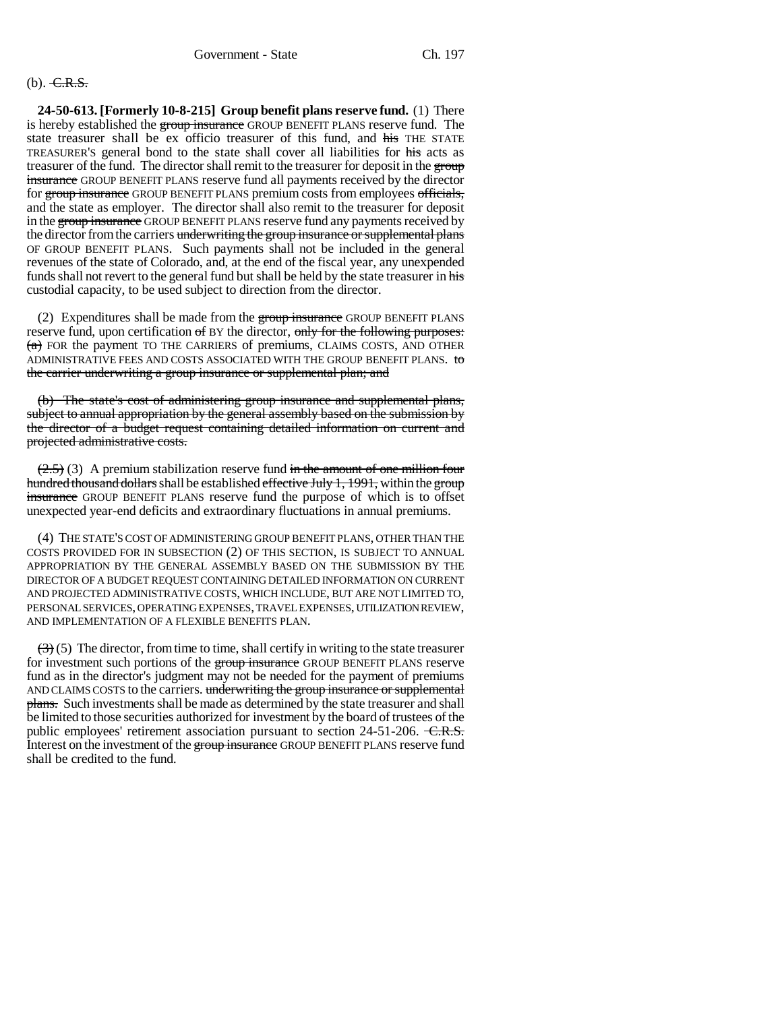# $(b)$ . C.R.S.

**24-50-613. [Formerly 10-8-215] Group benefit plans reserve fund.** (1) There is hereby established the group insurance GROUP BENEFIT PLANS reserve fund. The state treasurer shall be ex officio treasurer of this fund, and his THE STATE TREASURER'S general bond to the state shall cover all liabilities for his acts as treasurer of the fund. The director shall remit to the treasurer for deposit in the group insurance GROUP BENEFIT PLANS reserve fund all payments received by the director for group insurance GROUP BENEFIT PLANS premium costs from employees officials, and the state as employer. The director shall also remit to the treasurer for deposit in the group insurance GROUP BENEFIT PLANS reserve fund any payments received by the director from the carriers underwriting the group insurance or supplemental plans OF GROUP BENEFIT PLANS. Such payments shall not be included in the general revenues of the state of Colorado, and, at the end of the fiscal year, any unexpended funds shall not revert to the general fund but shall be held by the state treasurer in his custodial capacity, to be used subject to direction from the director.

(2) Expenditures shall be made from the group insurance GROUP BENEFIT PLANS reserve fund, upon certification of BY the director, only for the following purposes:  $(a)$  FOR the payment TO THE CARRIERS of premiums, CLAIMS COSTS, AND OTHER ADMINISTRATIVE FEES AND COSTS ASSOCIATED WITH THE GROUP BENEFIT PLANS. to the carrier underwriting a group insurance or supplemental plan; and

(b) The state's cost of administering group insurance and supplemental plans, subject to annual appropriation by the general assembly based on the submission by the director of a budget request containing detailed information on current and projected administrative costs.

 $(2.5)$  (3) A premium stabilization reserve fund in the amount of one million four hundred thousand dollars shall be established effective July 1, 1991, within the group insurance GROUP BENEFIT PLANS reserve fund the purpose of which is to offset unexpected year-end deficits and extraordinary fluctuations in annual premiums.

(4) THE STATE'S COST OF ADMINISTERING GROUP BENEFIT PLANS, OTHER THAN THE COSTS PROVIDED FOR IN SUBSECTION (2) OF THIS SECTION, IS SUBJECT TO ANNUAL APPROPRIATION BY THE GENERAL ASSEMBLY BASED ON THE SUBMISSION BY THE DIRECTOR OF A BUDGET REQUEST CONTAINING DETAILED INFORMATION ON CURRENT AND PROJECTED ADMINISTRATIVE COSTS, WHICH INCLUDE, BUT ARE NOT LIMITED TO, PERSONAL SERVICES, OPERATING EXPENSES, TRAVEL EXPENSES, UTILIZATION REVIEW, AND IMPLEMENTATION OF A FLEXIBLE BENEFITS PLAN.

 $(3)$  (5) The director, from time to time, shall certify in writing to the state treasurer for investment such portions of the group insurance GROUP BENEFIT PLANS reserve fund as in the director's judgment may not be needed for the payment of premiums AND CLAIMS COSTS to the carriers. underwriting the group insurance or supplemental **plans.** Such investments shall be made as determined by the state treasurer and shall be limited to those securities authorized for investment by the board of trustees of the public employees' retirement association pursuant to section  $24-51-206$ .  $\overline{\text{C.R.S.}}$ Interest on the investment of the group insurance GROUP BENEFIT PLANS reserve fund shall be credited to the fund.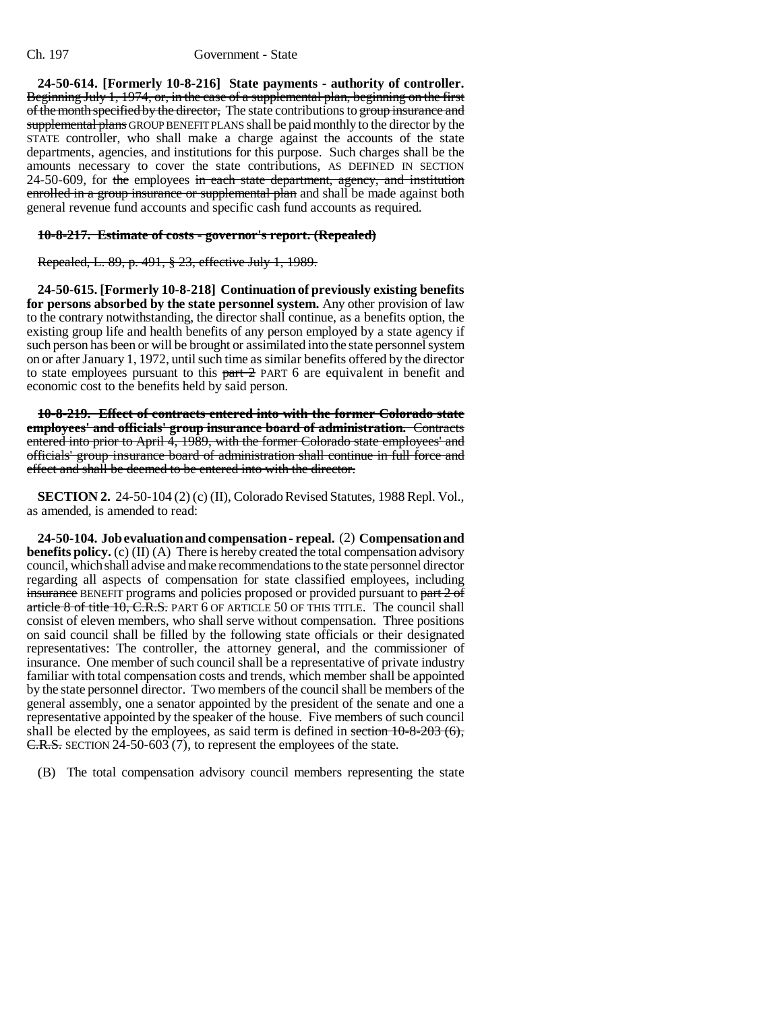**24-50-614. [Formerly 10-8-216] State payments - authority of controller.** Beginning July 1, 1974, or, in the case of a supplemental plan, beginning on the first of the month specified by the director, The state contributions to group insurance and supplemental plans GROUP BENEFIT PLANS shall be paid monthly to the director by the STATE controller, who shall make a charge against the accounts of the state departments, agencies, and institutions for this purpose. Such charges shall be the amounts necessary to cover the state contributions, AS DEFINED IN SECTION 24-50-609, for the employees in each state department, agency, and institution enrolled in a group insurance or supplemental plan and shall be made against both general revenue fund accounts and specific cash fund accounts as required.

## **10-8-217. Estimate of costs - governor's report. (Repealed)**

Repealed, L. 89, p. 491, § 23, effective July 1, 1989.

**24-50-615. [Formerly 10-8-218] Continuation of previously existing benefits for persons absorbed by the state personnel system.** Any other provision of law to the contrary notwithstanding, the director shall continue, as a benefits option, the existing group life and health benefits of any person employed by a state agency if such person has been or will be brought or assimilated into the state personnel system on or after January 1, 1972, until such time as similar benefits offered by the director to state employees pursuant to this  $part 2$  PART 6 are equivalent in benefit and economic cost to the benefits held by said person.

**10-8-219. Effect of contracts entered into with the former Colorado state employees' and officials' group insurance board of administration.** Contracts entered into prior to April 4, 1989, with the former Colorado state employees' and officials' group insurance board of administration shall continue in full force and effect and shall be deemed to be entered into with the director.

**SECTION 2.** 24-50-104 (2) (c) (II), Colorado Revised Statutes, 1988 Repl. Vol., as amended, is amended to read:

**24-50-104. Job evaluation and compensation - repeal.** (2) **Compensation and benefits policy.** (c) (II) (A) There is hereby created the total compensation advisory council, which shall advise and make recommendations to the state personnel director regarding all aspects of compensation for state classified employees, including insurance BENEFIT programs and policies proposed or provided pursuant to part 2 of article 8 of title 10, C.R.S. PART 6 OF ARTICLE 50 OF THIS TITLE. The council shall consist of eleven members, who shall serve without compensation. Three positions on said council shall be filled by the following state officials or their designated representatives: The controller, the attorney general, and the commissioner of insurance. One member of such council shall be a representative of private industry familiar with total compensation costs and trends, which member shall be appointed by the state personnel director. Two members of the council shall be members of the general assembly, one a senator appointed by the president of the senate and one a representative appointed by the speaker of the house. Five members of such council shall be elected by the employees, as said term is defined in section  $10-8-203(6)$ , C.R.S. SECTION 24-50-603 (7), to represent the employees of the state.

(B) The total compensation advisory council members representing the state